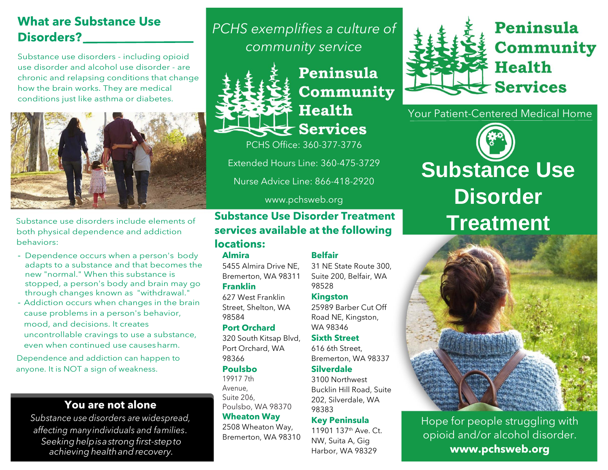## **What are Substance Use Disorders?**

Substance use disorders - including opioid use disorder and alcohol use disorder - are chronic and relapsing conditions that change how the brain works. They are medical conditions just like asthma or diabetes.



Substance use disorders include elements of both physical dependence and addiction behaviors:

- Dependence occurs when a person's body adapts to a substance and that becomes the new "normal." When this substance is stopped, a person's body and brain may go through changes known as "withdrawal."
- Addiction occurs when changes in the brain cause problems in a person's behavior, mood, and decisions. It creates uncontrollable cravings to use a substance, even when continued use causesharm.

Dependence and addiction can happen to anyone. It is NOT a sign of weakness.

### **You are not alone**

*Substance use disorders are widespread, affecting manyindividuals and families. Seekinghelpisastrongfirst-stepto achieving healthandrecovery.*

*PCHS exemplifies a culture of community service*



## Peninsula Community **Health**  $\pm$  Services

PCHS Office: 360-377-3776

Extended Hours Line: 360-475-3729

Nurse Advice Line: 866-418-2920

#### www.pchsweb.org

## **Substance Use Disorder Treatment services available at the following**

### **locations:**

#### **Almira**

5455 Almira Drive NE, Bremerton, WA 98311

## **Franklin**

627 West Franklin Street, Shelton, WA 98584

#### **Port Orchard**

320 South Kitsap Blvd, Port Orchard, WA 98366

#### **Poulsbo**

19917 7th Avenue, Suite 206, Poulsbo, WA 98370 **Wheaton Way**

2508 Wheaton Way, Bremerton, WA 98310 **Belfair**

31 NE State Route 300, Suite 200, Belfair, WA 98528

#### **Kingston**

25989 Barber Cut Off Road NE, Kingston, WA 98346

#### **Sixth Street** 616 6th Street,

Bremerton, WA 98337

#### **Silverdale**

3100 Northwest Bucklin Hill Road, Suite 202, Silverdale, WA 98383

#### **Key Peninsula** 11901 137th Ave. Ct. NW, Suita A, Gig

Harbor, WA 98329



Peninsula Community **Health**  $\bigstar$  Services

Your Patient-Centered Medical Home





Hope for people struggling with opioid and/or alcohol disorder. **www.pchsweb.org**